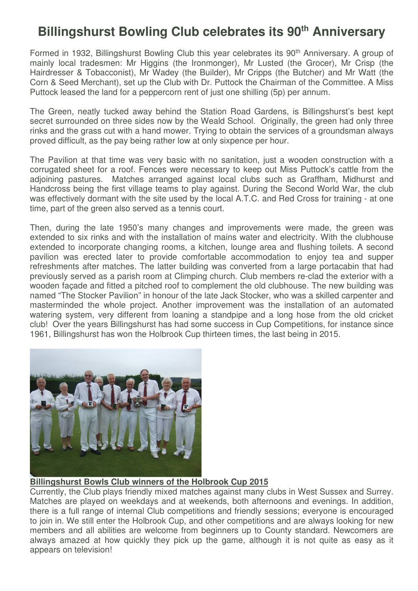## **Billingshurst Bowling Club celebrates its 90th Anniversary**

Formed in 1932, Billingshurst Bowling Club this year celebrates its 90<sup>th</sup> Anniversary. A group of mainly local tradesmen: Mr Higgins (the Ironmonger), Mr Lusted (the Grocer), Mr Crisp (the Hairdresser & Tobacconist), Mr Wadey (the Builder), Mr Cripps (the Butcher) and Mr Watt (the Corn & Seed Merchant), set up the Club with Dr. Puttock the Chairman of the Committee. A Miss Puttock leased the land for a peppercorn rent of just one shilling (5p) per annum.

The Green, neatly tucked away behind the Station Road Gardens, is Billingshurst's best kept secret surrounded on three sides now by the Weald School. Originally, the green had only three rinks and the grass cut with a hand mower. Trying to obtain the services of a groundsman always proved difficult, as the pay being rather low at only sixpence per hour.

The Pavilion at that time was very basic with no sanitation, just a wooden construction with a corrugated sheet for a roof. Fences were necessary to keep out Miss Puttock's cattle from the adjoining pastures. Matches arranged against local clubs such as Graffham, Midhurst and Handcross being the first village teams to play against. During the Second World War, the club was effectively dormant with the site used by the local A.T.C. and Red Cross for training - at one time, part of the green also served as a tennis court.

Then, during the late 1950's many changes and improvements were made, the green was extended to six rinks and with the installation of mains water and electricity. With the clubhouse extended to incorporate changing rooms, a kitchen, lounge area and flushing toilets. A second pavilion was erected later to provide comfortable accommodation to enjoy tea and supper refreshments after matches. The latter building was converted from a large portacabin that had previously served as a parish room at Climping church. Club members re-clad the exterior with a wooden façade and fitted a pitched roof to complement the old clubhouse. The new building was named "The Stocker Pavilion" in honour of the late Jack Stocker, who was a skilled carpenter and masterminded the whole project. Another improvement was the installation of an automated watering system, very different from loaning a standpipe and a long hose from the old cricket club! Over the years Billingshurst has had some success in Cup Competitions, for instance since 1961, Billingshurst has won the Holbrook Cup thirteen times, the last being in 2015.



## **Billingshurst Bowls Club winners of the Holbrook Cup 2015**

Currently, the Club plays friendly mixed matches against many clubs in West Sussex and Surrey. Matches are played on weekdays and at weekends, both afternoons and evenings. In addition, there is a full range of internal Club competitions and friendly sessions; everyone is encouraged to join in. We still enter the Holbrook Cup, and other competitions and are always looking for new members and all abilities are welcome from beginners up to County standard. Newcomers are always amazed at how quickly they pick up the game, although it is not quite as easy as it appears on television!